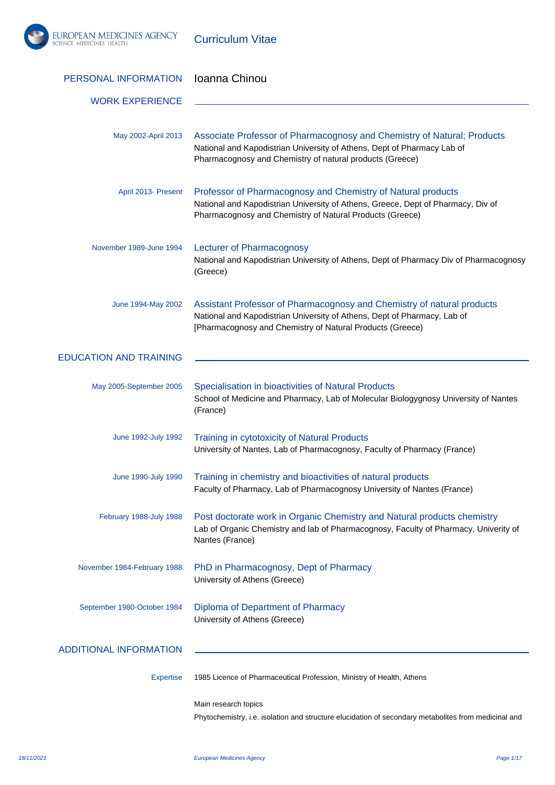

Curriculum Vitae

| PERSONAL INFORMATION          | Ioanna Chinou                                                                                                                                                                                                   |
|-------------------------------|-----------------------------------------------------------------------------------------------------------------------------------------------------------------------------------------------------------------|
| <b>WORK EXPERIENCE</b>        |                                                                                                                                                                                                                 |
| May 2002-April 2013           | Associate Professor of Pharmacognosy and Chemistry of Natural; Products<br>National and Kapodistrian University of Athens, Dept of Pharmacy Lab of<br>Pharmacognosy and Chemistry of natural products (Greece)  |
| April 2013- Present           | Professor of Pharmacognosy and Chemistry of Natural products<br>National and Kapodistrian University of Athens, Greece, Dept of Pharmacy, Div of<br>Pharmacognosy and Chemistry of Natural Products (Greece)    |
| November 1989-June 1994       | <b>Lecturer of Pharmacognosy</b><br>National and Kapodistrian University of Athens, Dept of Pharmacy Div of Pharmacognosy<br>(Greece)                                                                           |
| June 1994-May 2002            | Assistant Professor of Pharmacognosy and Chemistry of natural products<br>National and Kapodistrian University of Athens, Dept of Pharmacy, Lab of<br>[Pharmacognosy and Chemistry of Natural Products (Greece) |
| <b>EDUCATION AND TRAINING</b> |                                                                                                                                                                                                                 |
| May 2005-September 2005       | Specialisation in bioactivities of Natural Products<br>School of Medicine and Pharmacy, Lab of Molecular Biologygnosy University of Nantes<br>(France)                                                          |
| June 1992-July 1992           | <b>Training in cytotoxicity of Natural Products</b><br>University of Nantes, Lab of Pharmacognosy, Faculty of Pharmacy (France)                                                                                 |
| June 1990-July 1990           | Training in chemistry and bioactivities of natural products<br>Faculty of Pharmacy, Lab of Pharmacognosy University of Nantes (France)                                                                          |
| February 1988-July 1988       | Post doctorate work in Organic Chemistry and Natural products chemistry<br>Lab of Organic Chemistry and lab of Pharmacognosy, Faculty of Pharmacy, Univerity of<br>Nantes (France)                              |
| November 1984-February 1988   | PhD in Pharmacognosy, Dept of Pharmacy<br>University of Athens (Greece)                                                                                                                                         |
| September 1980-October 1984   | Diploma of Department of Pharmacy<br>University of Athens (Greece)                                                                                                                                              |
| <b>ADDITIONAL INFORMATION</b> |                                                                                                                                                                                                                 |
| <b>Expertise</b>              | 1985 Licence of Pharmaceutical Profession, Ministry of Health, Athens                                                                                                                                           |
|                               | Main research topics<br>Phytochemistry, i.e. isolation and structure elucidation of secondary metabolites from medicinal and                                                                                    |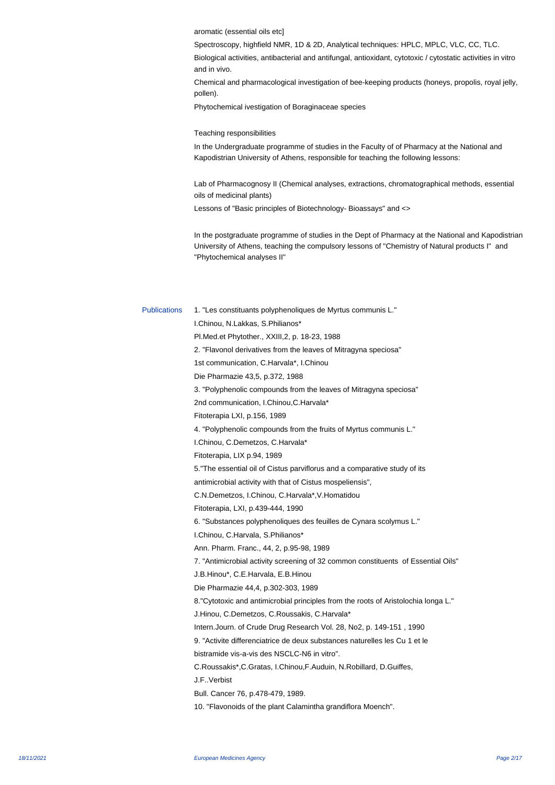aromatic (essential oils etc]

 Spectroscopy, highfield NMR, 1D & 2D, Analytical techniques: HPLC, MPLC, VLC, CC, TLC.

 Biological activities, antibacterial and antifungal, antioxidant, cytotoxic / cytostatic activities in vitro and in vivo.

 Chemical and pharmacological investigation of bee-keeping products (honeys, propolis, royal jelly, pollen).

 Phytochemical ivestigation of Boraginaceae species

Teaching responsibilities

In the Undergraduate programme of studies in the Faculty of of Pharmacy at the National and Kapodistrian University of Athens, responsible for teaching the following lessons:

Lab of Pharmacognosy II (Chemical analyses, extractions, chromatographical methods, essential oils of medicinal plants)

Lessons of "Basic principles of Biotechnology- Bioassays" and <>

In the postgraduate programme of studies in the Dept of Pharmacy at the National and Kapodistrian University of Athens, teaching the compulsory lessons of "Chemistry of Natural products I" and "Phytochemical analyses II"

Publications 1. "Les constituants polyphenoliques de Myrtus communis L." I.Chinou, N.Lakkas, S.Philianos\* Pl.Med.et Phytother., XXIII,2, p. 18-23, 1988 2. "Flavonol derivatives from the leaves of Mitragyna speciosa" 1st communication, C.Harvala\*, I.Chinou Die Pharmazie 43,5, p.372, 1988 3. "Polyphenolic compounds from the leaves of Mitragyna speciosa" 2nd communication, I.Chinou,C.Harvala\* Fitoterapia LXI, p.156, 1989 4. "Polyphenolic compounds from the fruits of Myrtus communis L." I.Chinou, C.Demetzos, C.Harvala\* Fitoterapia, LIX p.94, 1989 5."The essential oil of Cistus parviflorus and a comparative study of its antimicrobial activity with that of Cistus mospeliensis", C.N.Demetzos, I.Chinou, C.Harvala\*,V.Homatidou Fitoterapia, LXI, p.439-444, 1990 6. "Substances polyphenoliques des feuilles de Cynara scolymus L." I.Chinou, C.Harvala, S.Philianos\* Ann. Pharm. Franc., 44, 2, p.95-98, 1989 7. "Antimicrobial activity screening of 32 common constituents of Essential Oils" J.B.Hinou\*, C.E.Harvala, E.B.Hinou Die Pharmazie 44,4, p.302-303, 1989 8."Cytotoxic and antimicrobial principles from the roots of Aristolochia longa L." J.Hinou, C.Demetzos, C.Roussakis, C.Harvala\* Intern.Journ. of Crude Drug Research Vol. 28, No2, p. 149-151 , 1990 9. "Activite differenciatrice de deux substances naturelles les Cu 1 et le bistramide vis-a-vis des NSCLC-N6 in vitro". C.Roussakis\*,C.Gratas, I.Chinou,F.Auduin, N.Robillard, D.Guiffes, J.F..Verbist Bull. Cancer 76, p.478-479, 1989. 10. "Flavonoids of the plant Calamintha grandiflora Moench".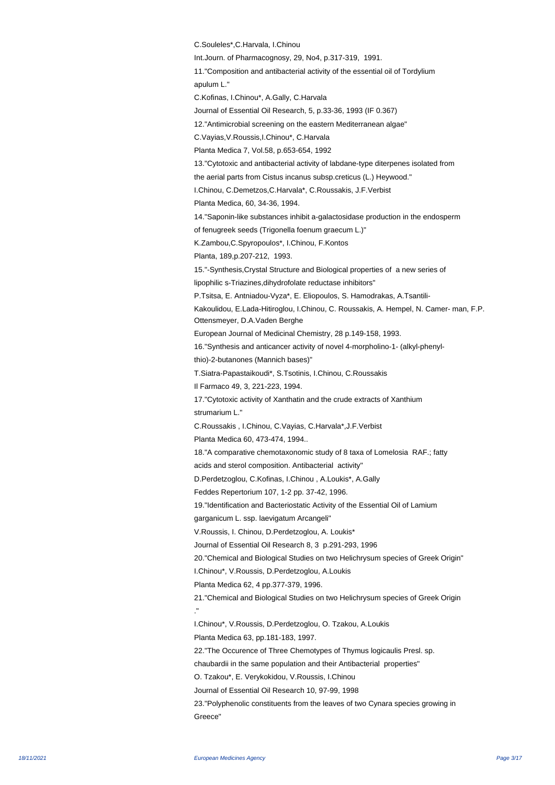C.Souleles\*,C.Harvala, I.Chinou Int.Journ. of Pharmacognosy, 29, No4, p.317-319, 1991. 11."Composition and antibacterial activity of the essential oil of Tordylium apulum L." C.Kofinas, I.Chinou\*, A.Gally, C.Harvala Journal of Essential Oil Research, 5, p.33-36, 1993 (IF 0.367) 12."Antimicrobial screening on the eastern Mediterranean algae" C.Vayias,V.Roussis,I.Chinou\*, C.Harvala Planta Medica 7, Vol.58, p.653-654, 1992 13."Cytotoxic and antibacterial activity of labdane-type diterpenes isolated from the aerial parts from Cistus incanus subsp.creticus (L.) Heywood." I.Chinou, C.Demetzos,C.Harvala\*, C.Roussakis, J.F.Verbist Planta Medica, 60, 34-36, 1994. 14."Saponin-like substances inhibit a-galactosidase production in the endosperm of fenugreek seeds (Trigonella foenum graecum L.)" K.Zambou,C.Spyropoulos\*, I.Chinou, F.Kontos Planta, 189,p.207-212, 1993. 15."-Synthesis,Crystal Structure and Biological properties of a new series of lipophilic s- Triazines, dihy drofolate reductase inhibitors" P.Tsitsa, E. Antniadou-Vyza\*, E. Eliopoulos, S. Hamodrakas, A.Tsantili-Kakoulidou, E.Lada-Hitiroglou, I.Chinou, C. Roussakis, A. Hempel, N. Camer- man, F.P. Ottensmeyer, D.A.Vaden Berghe European Journal of Medicinal Chemistry, 28 p.149-158, 1993. 16."Synthesis and anticancer activity of novel 4-morpholino-1- (alkyl-phenylthio)-2-butanones (Mannich bases)" T.Siatra-Papastaikoudi\*, S.Tsotinis, I.Chinou, C.Roussakis Il Farmaco 49, 3, 221-223, 1994. 17."Cytotoxic activity of Xanthatin and the crude extracts of Xanthium strumarium L." C.Roussakis , I.Chinou, C.Vayias, C.Harvala\*,J.F.Verbist Planta Medica 60, 473-474, 1994.. 18."A comparative chemotaxonomic study of 8 taxa of Lomelosia RAF.; fatty acids and sterol composition. Antibacterial activity" D.Perdetzoglou, C.Kofinas, I.Chinou , A.Loukis\*, A.Gally Feddes Repertorium 107, 1-2 pp. 37-42, 1996. 19."Identification and Bacteriostatic Activity of the Essential Oil of Lamium garganicum L. ssp. laevigatum Arcangeli" V.Roussis, I. Chinou, D.Perdetzoglou, A. Loukis\* Journal of Essential Oil Research 8, 3 p.291-293, 1996 20."Chemical and Biological Studies on two Helichrysum species of Greek Origin" I.Chinou\*, V.Roussis, D.Perdetzoglou, A.Loukis Planta Medica 62, 4 pp.377-379, 1996. 21."Chemical and Biological Studies on two Helichrysum species of Greek Origin ." I.Chinou\*, V.Roussis, D.Perdetzoglou, O. Tzakou, A.Loukis Planta Medica 63, pp.181-183, 1997. 22."The Occurence of Three Chemotypes of Thymus logicaulis Presl. sp. chaubardii in the same population and their Antibacterial properties" O. Tzakou\*, E. Verykokidou, V.Roussis, I.Chinou Journal of Essential Oil Research 10, 97-99, 1998 23."Polyphenolic constituents from the leaves of two Cynara species growing in Greece"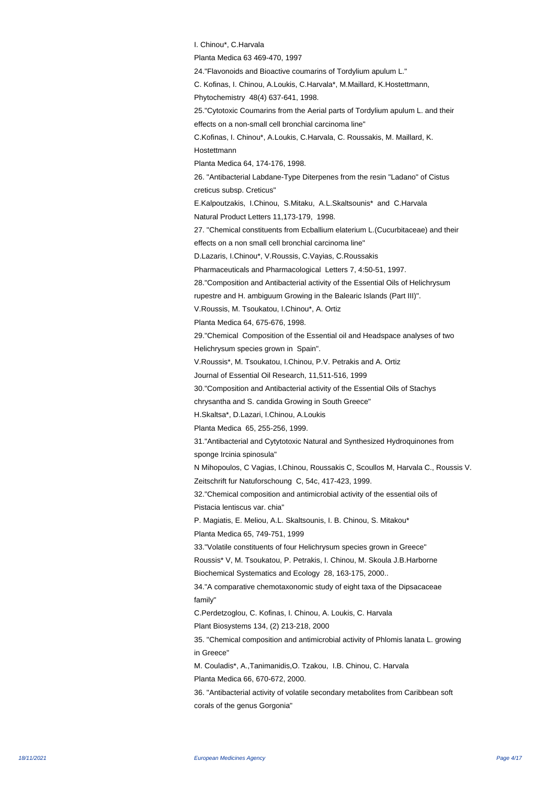I. Chinou\*, C.Harvala Planta Medica 63 469-470, 1997 24."Flavonoids and Bioactive coumarins of Tordylium apulum L." C. Kofinas, I. Chinou, A.Loukis, C.Harvala\*, M.Maillard, K.Hostettmann, Phytochemistry 48(4) 637-641, 1998. 25."Cytotoxic Coumarins from the Aerial parts of Tordylium apulum L. and their effects on a non-small cell bronchial carcinoma line" C. Kofinas, I. Chinou\*, A.Loukis, C.Harvala, C. Roussakis, M. Maillard, K. Hostettmann Planta Medica 64, 174-176, 1998. 26. "Antibacterial Labdane-Type Diterpenes from the resin "Ladano" of Cistus creticus subsp. Creticus" E.Kalpoutzakis, I.Chinou, S.Mitaku, A.L.Skaltsounis\* and C.Harvala Natural Product Letters 11,173-179, 1998. 27. "Chemical constituents from Ecballium elaterium L.(Cucurbitaceae) and their effects on a non small cell bronchial carcinoma line" D.Lazaris, I.Chinou\*, V.Roussis, C.Vayias, C.Roussakis Pharmaceuticals and Pharmacological Letters 7, 4:50-51, 1997. 28."Composition and Antibacterial activity of the Essential Oils of Helichrysum rupestre and H. ambiguum Growing in the Balearic Islands (Part III)". V.Roussis, M. Tsoukatou, I.Chinou\*, A. Ortiz Planta Medica 64, 675-676, 1998. 29."Chemical Composition of the Essential oil and Headspace analyses of two Helichrysum species grown in Spain". V.Roussis\*, M. Tsoukatou, I.Chinou, P.V. Petrakis and A. Ortiz Journal of Essential Oil Research, 11,511-516, 1999 30."Composition and Antibacterial activity of the Essential Oils of Stachys chrysantha and S. candida Growing in South Greece" H.Skaltsa\*, D.Lazari, I.Chinou, A.Loukis Planta Medica 65, 255-256, 1999. 31."Antibacterial and Cytytotoxic Natural and Synthesized Hydroquinones from sponge Ircinia spinosula" N Mihopoulos, C Vagias, I.Chinou, Roussakis C, Scoullos M, Harvala C., Roussis V. Zeitschrift fur Natuforschoung C, 54c, 417-423, 1999. 32."Chemical composition and antimicrobial activity of the essential oils of Pistacia lentiscus var. chia" P. Magiatis, E. Meliou, A.L. Skaltsounis, I. B. Chinou, S. Mitakou\* Planta Medica 65, 749-751, 1999 33."Volatile constituents of four Helichrysum species grown in Greece" Roussis\* V, M. Tsoukatou, P. Petrakis, I. Chinou, M. Skoula J.B.Harborne Biochemical Systematics and Ecology 28, 163-175, 2000.. 34."A comparative chemotaxonomic study of eight taxa of the Dipsacaceae family" C.Perdetzoglou, C. Kofinas, I. Chinou, A. Loukis, C. Harvala Plant Biosystems 134, (2) 213-218, 2000 35. "Chemical composition and antimicrobial activity of Phlomis lanata L. growing in Greece" M. Couladis\*, A.,Tanimanidis,O. Tzakou, I.B. Chinou, C. Harvala Planta Medica 66, 670-672, 2000. 36. "Antibacterial activity of volatile secondary metabolites from Caribbean soft corals of the genus Gorgonia"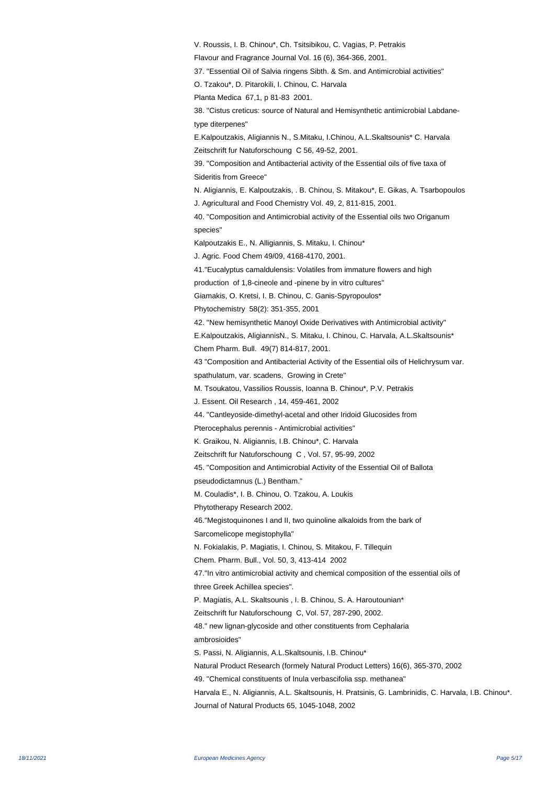V. Roussis, I. B. Chinou\*, Ch. Tsitsibikou, C. Vagias, P. Petrakis Flavour and Fragrance Journal Vol. 16 (6), 364-366, 2001. 37. "Essential Oil of Salvia ringens Sibth. & Sm. and Antimicrobial activities" O. Tzakou\*, D. Pitarokili, I. Chinou, C. Harvala Planta Medica 67,1, p 81-83 2001. 38. "Cistus creticus: source of Natural and Hemisynthetic antimicrobial Labdanetype diterpenes" E.Kalpoutzakis, Aligiannis N., S.Mitaku, I.Chinou, A.L.Skaltsounis\* C. Harvala Zeitschrift fur Natuforschoung C 56, 49-52, 2001. 39. "Composition and Antibacterial activity of the Essential oils of five taxa of Sideritis from Greece" N. Aligiannis, E. Kalpoutzakis, . B. Chinou, S. Mitakou\*, E. Gikas, A. Tsarbopoulos J. Agricultural and Food Chemistry Vol. 49, 2, 811-815, 2001. 40. "Composition and Antimicrobial activity of the Essential oils two Origanum species" Kalpoutzakis E., N. Alligiannis, S. Mitaku, I. Chinou\* J. Agric. Food Chem 49/09, 4168-4170, 2001. 41."Eucalyptus camaldulensis: Volatiles from immature flowers and high production of 1,8-cineole and -pinene by in vitro cultures" Giamakis, O. Kretsi, I. B. Chinou, C. Ganis-Spyropoulos\* Phytochemistry 58(2): 351-355, 2001 42. "New hemisynthetic Manoyl Oxide Derivatives with Antimicrobial activity" E.Kalpoutzakis, AligiannisN., S. Mitaku, I. Chinou, C. Harvala, A.L.Skaltsounis\* Chem Pharm. Bull. 49(7) 814-817, 2001. 43 "Composition and Antibacterial Activity of the Essential oils of Helichrysum var. spathulatum, var. scadens, Growing in Crete" M. Tsoukatou, Vassilios Roussis, Ioanna B. Chinou\*, P.V. Petrakis J. Essent. Oil Research , 14, 459-461, 2002 44. "Cantleyoside-dimethyl-acetal and other Iridoid Glucosides from Pterocephalus perennis - Antimicrobial activities" K. Graikou, N. Aligiannis, I.B. Chinou\*, C. Harvala Zeitschrift fur Natuforschoung C , Vol. 57, 95-99, 2002 45. "Composition and Antimicrobial Activity of the Essential Oil of Ballota pseudodictamnus (L.) Bentham." M. Couladis\*, I. B. Chinou, O. Tzakou, A. Loukis Phytotherapy Research 2002. 46."Megistoquinones I and II, two quinoline alkaloids from the bark of Sarcomelicope megistophylla" N. Fokialakis, P. Magiatis, I. Chinou, S. Mitakou, F. Tillequin Chem. Pharm. Bull., Vol. 50, 3, 413-414 2002 47."In vitro antimicrobial activity and chemical composition of the essential oils of three Greek Achillea species". P. Magiatis, A.L. Skaltsounis , I. B. Chinou, S. A. Haroutounian\* Zeitschrift fur Natuforschoung C, Vol. 57, 287-290, 2002. 48." new lignan-glycoside and other constituents from Cephalaria ambrosioides" S. Passi, N. Aligiannis, A.L.Skaltsounis, I.B. Chinou\* Natural Product Research (formely Natural Product Letters) 16(6), 365-370, 2002 49. "Chemical constituents of Inula verbascifolia ssp. methanea" Harvala E., N. Aligiannis, A.L. Skaltsounis, H. Pratsinis, G. Lambrinidis, C. Harvala, I.B. Chinou\*. Journal of Natural Products 65, 1045-1048, 2002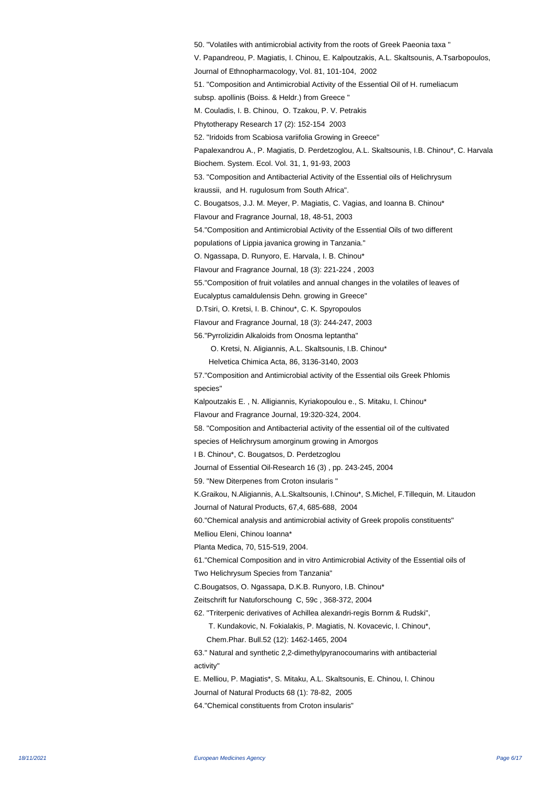50. "Volatiles with antimicrobial activity from the roots of Greek Paeonia taxa " V. Papandreou, P. Magiatis, I. Chinou, E. Kalpoutzakis, A.L. Skaltsounis, A.Tsarbopoulos, Journal of Ethnopharmacology, Vol. 81, 101-104, 2002 51. "Composition and Antimicrobial Activity of the Essential Oil of H. rumeliacum subsp. apollinis (Boiss. & Heldr.) from Greece " M. Couladis, I. B. Chinou, O. Tzakou, P. V. Petrakis Phytotherapy Research 17 (2): 152-154 2003 52. "Iridoids from Scabiosa variifolia Growing in Greece" Papalexandrou A., P. Magiatis, D. Perdetzoglou, A.L. Skaltsounis, I.B. Chinou\*, C. Harvala Biochem. System. Ecol. Vol. 31, 1, 91-93, 2003 53. "Composition and Antibacterial Activity of the Essential oils of Helichrysum kraussii, and H. rugulosum from South Africa". C. Bougatsos, J.J. M. Meyer, P. Magiatis, C. Vagias, and Ioanna B. Chinou\* Flavour and Fragrance Journal, 18, 48-51, 2003 54."Composition and Antimicrobial Activity of the Essential Oils of two different populations of Lippia javanica growing in Tanzania." O. Ngassapa, D. Runyoro, E. Harvala, I. B. Chinou\* Flavour and Fragrance Journal, 18 (3): 221-224 , 2003 55."Composition of fruit volatiles and annual changes in the volatiles of leaves of Eucalyptus camaldulensis Dehn. growing in Greece" D.Tsiri, O. Kretsi, I. B. Chinou\*, C. K. Spyropoulos Flavour and Fragrance Journal, 18 (3): 244-247, 2003 56."Pyrrolizidin Alkaloids from Onosma leptantha" O. Kretsi, N. Aligiannis, A.L. Skaltsounis, I.B. Chinou\* Helvetica Chimica Acta, 86, 3136-3140, 2003 57."Composition and Antimicrobial activity of the Essential oils Greek Phlomis species" Kalpoutzakis E. , N. Alligiannis, Kyriakopoulou e., S. Mitaku, I. Chinou\* Flavour and Fragrance Journal, 19:320-324, 2004. 58. "Composition and Antibacterial activity of the essential oil of the cultivated species of Helichrysum amorginum growing in Amorgos I B. Chinou\*, C. Bougatsos, D. Perdetzoglou Journal of Essential Oil-Research 16 (3) , pp. 243-245, 2004 59. "New Diterpenes from Croton insularis " K.Graikou, N.Aligiannis, A.L.Skaltsounis, I.Chinou\*, S.Michel, F.Tillequin, M. Litaudon Journal of Natural Products, 67,4, 685-688, 2004 60."Chemical analysis and antimicrobial activity of Greek propolis constituents" Melliou Eleni, Chinou Ioanna\* Planta Medica, 70, 515-519, 2004. 61."Chemical Composition and in vitro Antimicrobial Activity of the Essential oils of Two Helichrysum Species from Tanzania" C.Bougatsos, O. Ngassapa, D.K.B. Runyoro, I.B. Chinou\* Zeitschrift fur Natuforschoung C, 59c , 368-372, 2004 62. "Triterpenic derivatives of Achillea alexandri-regis Bornm & Rudski", T. Kundakovic, N. Fokialakis, P. Magiatis, N. Kovacevic, I. Chinou\*, Chem.Phar. Bull.52 (12): 1462-1465, 2004 63." Natural and synthetic 2,2-dimethylpyranocoumarins with antibacterial activity" E. Melliou, P. Magiatis\*, S. Mitaku, A.L. Skaltsounis, E. Chinou, I. Chinou Journal of Natural Products 68 (1): 78-82, 2005 64."Chemical constituents from Croton insularis"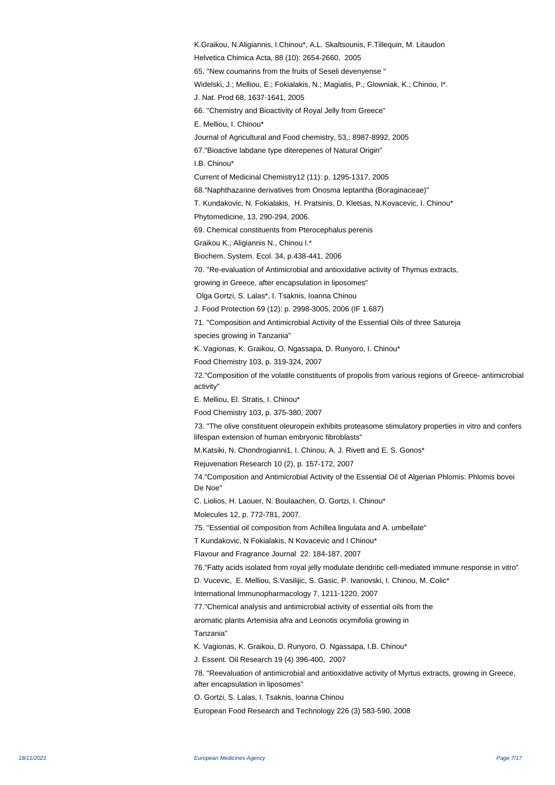K.Graikou, N.Aligiannis, I.Chinou\*, A.L. Skaltsounis, F.Tillequin, M. Litaudon Helvetica Chimica Acta, 88 (10): 2654-2660, 2005 65. "New coumarins from the fruits of Seseli devenyense " Widelski, J.; Melliou, E.; Fokialakis, N.; Magiatis, P.; Glowniak, K.; Chinou, I\*. J. Nat. Prod 68, 1637-1641, 2005 66. "Chemistry and Bioactivity of Royal Jelly from Greece" E. Melliou, I. Chinou\* Journal of Agricultural and Food chemistry, 53,: 8987-8992, 2005 67."Bioactive labdane type diterepenes of Natural Origin" I.B. Chinou\* Current of Medicinal Chemistry12 (11): p. 1295-1317, 2005 68."Naphthazarine derivatives from Onosma leptantha (Boraginaceae)" T. Kundakovic, N. Fokialakis, H. Pratsinis, D. Kletsas, N.Kovacevic, I. Chinou\* Phytomedicine, 13, 290-294, 2006. 69. Chemical constituents from Pterocephalus perenis Graikou K., Aligiannis N., Chinou I.\* Biochem. System. Ecol. 34, p.438-441, 2006 70. "Re-evaluation of Antimicrobial and antioxidative activity of Thymus extracts, growing in Greece, after encapsulation in liposomes" Olga Gortzi, S. Lalas\*, I. Tsaknis, Ioanna Chinou J. Food Protection 69 (12): p. 2998-3005, 2006 (IF 1.687) 71. "Composition and Antimicrobial Activity of the Essential Oils of three Satureja species growing in Tanzania" K. Vagionas, K. Graikou, O. Ngassapa, D. Runyoro, I. Chinou\* Food Chemistry 103, p. 319-324, 2007 72."Composition of the volatile constituents of propolis from various regions of Greece- antimicrobial activity" E. Melliou, El. Stratis, I. Chinou\* Food Chemistry 103, p. 375-380, 2007 73. "The olive constituent oleuropein exhibits proteasome stimulatory properties in vitro and confers lifespan extension of human embryonic fibroblasts" M.Katsiki, N. Chondrogianni1, I. Chinou, A. J. Rivett and E. S. Gonos\* Rejuvenation Research 10 (2), p. 157-172, 2007 74."Composition and Antimicrobial Activity of the Essential Oil of Algerian Phlomis: Phlomis bovei De Noe" C. Liolios, H. Laouer, N. Boulaachen, O. Gortzi, I. Chinou\* Molecules 12, p. 772-781, 2007. 75. "Essential oil composition from Achillea lingulata and A. umbellate" T Kundakovic, N Fokialakis, N Kovacevic and I Chinou\* Flavour and Fragrance Journal 22: 184-187, 2007 76."Fatty acids isolated from royal jelly modulate dendritic cell-mediated immune response in vitro" D. Vucevic, E. Melliou, S.Vasilijic, S. Gasic, P. Ivanovski, I. Chinou, M. Colic\* International Immunopharmacology 7, 1211-1220, 2007 77."Chemical analysis and antimicrobial activity of essential oils from the aromatic plants Artemisia afra and Leonotis ocymifolia growing in Tanzania" K. Vagionas, K. Graikou, D. Runyoro, O. Ngassapa, I.B. Chinou\* J. Essent. Oil Research 19 (4) 396-400, 2007 78. "Reevaluation of antimicrobial and antioxidative activity of Myrtus extracts, growing in Greece, after encapsulation in liposomes" O. Gortzi, S. Lalas, I. Tsaknis, Ioanna Chinou European Food Research and Technology 226 (3) 583-590, 2008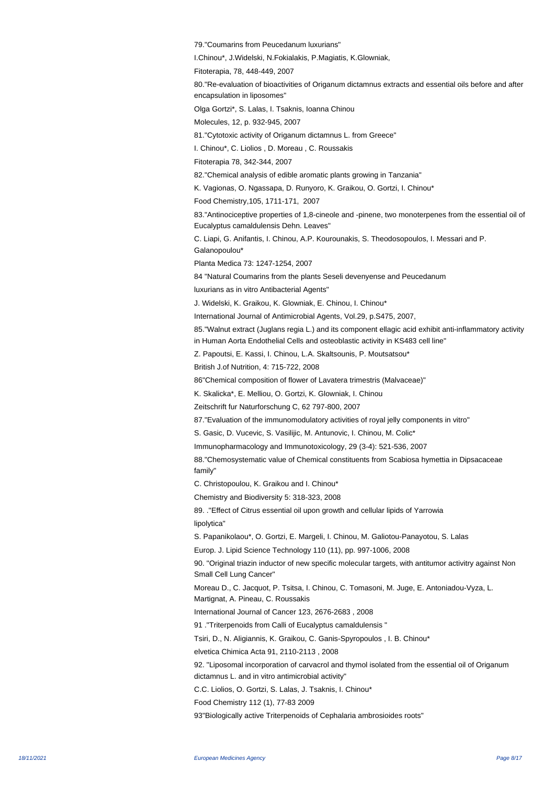79."Coumarins from Peucedanum luxurians"

I.Chinou\*, J.Widelski, N.Fokialakis, P.Magiatis, K.Glowniak,

Fitoterapia, 78, 448-449, 2007

80."Re-evaluation of bioactivities of Origanum dictamnus extracts and essential oils before and after encapsulation in liposomes"

Olga Gortzi\*, S. Lalas, I. Tsaknis, Ioanna Chinou

Molecules, 12, p. 932-945, 2007

81."Cytotoxic activity of Origanum dictamnus L. from Greece"

I. Chinou\*, C. Liolios , D. Moreau , C. Roussakis

Fitoterapia 78, 342-344, 2007

82."Chemical analysis of edible aromatic plants growing in Tanzania"

K. Vagionas, O. Ngassapa, D. Runyoro, K. Graikou, O. Gortzi, I. Chinou\*

Food Chemistry,105, 1711-171, 2007

83."Antinociceptive properties of 1,8-cineole and -pinene, two monoterpenes from the essential oil of Eucalyptus camaldulensis Dehn. Leaves"

C. Liapi, G. Anifantis, I. Chinou, A.P. Kourounakis, S. Theodosopoulos, I. Messari and P. Galanopoulou\*

Planta Medica 73: 1247-1254, 2007

84 "Natural Coumarins from the plants Seseli devenyense and Peucedanum

luxurians as in vitro Antibacterial Agents"

J. Widelski, K. Graikou, K. Glowniak, E. Chinou, I. Chinou\*

 International Journal of Antimicrobial Agents, Vol.29, p.S475, 2007,

85."Walnut extract (Juglans regia L.) and its component ellagic acid exhibit anti-inflammatory activity in Human Aorta Endothelial Cells and osteoblastic activity in KS483 cell line"

Z. Papoutsi, E. Kassi, I. Chinou, L.A. Skaltsounis, P. Moutsatsou\*

British J.of Nutrition, 4: 715-722, 2008

86"Chemical composition of flower of Lavatera trimestris (Malvaceae)"

K. Skalicka\*, E. Melliou, O. Gortzi, K. Glowniak, I. Chinou

Zeitschrift fur Naturforschung C, 62 797-800, 2007

87."Evaluation of the immunomodulatory activities of royal jelly components in vitro"

S. Gasic, D. Vucevic, S. Vasilijic, M. Antunovic, I. Chinou, M. Colic\*

Immunopharmacology and Immunotoxicology, 29 (3-4): 521-536, 2007

88."Chemosystematic value of Chemical constituents from Scabiosa hymettia in Dipsacaceae family"

C. Christopoulou, K. Graikou and I. Chinou\*

Chemistry and Biodiversity 5: 318-323, 2008

89. ."Effect of Citrus essential oil upon growth and cellular lipids of Yarrowia

lipolytica" 

S. Papanikolaou\*, O. Gortzi, E. Margeli, I. Chinou, M. Galiotou-P anayotou, S. Lalas

 Europ. J. Lipid Science Technology 110 (11), pp. 997-1006, 2008

90. "Original triazin inductor of new specific molecular targets, with antitumor activitry against Non Small Cell Lung Cancer"

Moreau D., C. Jacquot, P. Tsitsa, I. Chinou, C. Tomasoni, M. Juge, E. Antoniadou-Vyza, L.

Martignat, A. Pineau, C. Roussakis

International Journal of Cancer 123, 2676-2683 , 2008

91 ."Triterpenoids from Calli of Eucalyptus camaldulensis "

Tsiri, D., N. Aligiannis, K. Graikou, C. Ganis-Spyropoulos , I. B. Chinou\*

elvetica Chimica Acta 91, 2110-2113 , 2008

92. "Liposomal incorporation of carvacrol and thymol isolated from the essential oil of Origanum dictamnus L. and in vitro antimicrobial activity"

C.C. Liolios, O. Gortzi, S. Lalas, J. Tsaknis, I. Chinou\*

Food Chemistry 112 (1), 77-83 2009

93"Biologically active Triterpenoids of Cephalaria ambrosioides roots"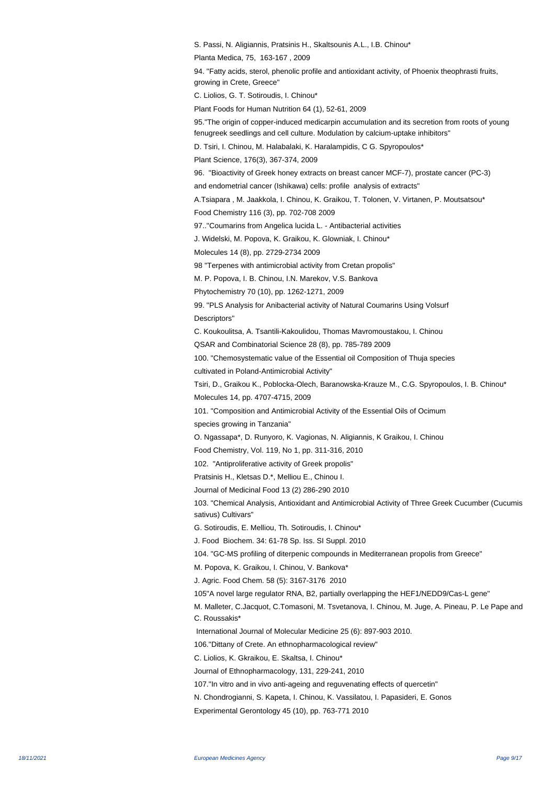S. Passi, N. Aligiannis, Pratsinis H., Skaltsounis A.L., I.B. Chinou\* Planta Medica, 75, 163-167 , 2009 94. "Fatty acids, sterol, phenolic profile and antioxidant activity, of Phoenix theophrasti fruits, growing in Crete, Greece" C. Liolios, G. T. Sotiroudis, I. Chinou\* Plant Foods for Human Nutrition 64 (1), 52-61, 2009 95."The origin of copper-induced medicarpin accumulation and its secretion from roots of young fenugreek seedlings and cell culture. Modulation by calcium-uptake inhibitors" D. Tsiri, I. Chinou, M. Halabalaki, K. Haralampidis, C G. Spyropoulos\* Plant Science, 176(3), 367-374, 2009 96. "Bioactivity of Greek honey extracts on breast cancer MCF-7), prostate cancer (PC-3) and endometrial cancer (Ishikawa) cells: profile analysis of extracts" A. Tsiapara, M. Jaakkola, I. Chinou, K. Graikou, T. Tolonen, V. Virtanen, P. Moutsatsou\* Food Chemistry 116 (3), pp. 702-708 2009 97.."Coumarins from Angelica lucida L. - Antibacterial activities J. Widelski, M. Popova, K. Graikou, K. Glowniak, I. Chinou\* Molecules 14 (8), pp. 2729-2734 2009 98 "Terpenes with antimicrobial activity from Cretan propolis" M. P. Popova, I. B. Chinou, I.N. Marekov, V.S. Bankova Phytochemistry 70 (10), pp. 1262-1271, 2009 99. "PLS Analysis for Anibacterial activity of Natural Coumarins Using Volsurf Descriptors" C. Koukoulitsa, A. Tsantili-Kakoulidou, Thomas Mavromoustakou, I. Chinou QSAR and Combinatorial Science 28 (8), pp. 785-789 2009 100. "Chemosystematic value of the Essential oil Composition of Thuja species cultivated in Poland-Antimicrobial Activity" Tsiri, D., Graikou K., Poblocka-Olech, Baranowska-Krauze M., C.G. Spyropoulos, I. B. Chinou\* Molecules 14, pp. 4707-4715, 2009 101. "Composition and Antimicrobial Activity of the Essential Oils of Ocimum species growing in Tanzania" O. Ngassapa\*, D. Runyoro, K. Vagionas, N. Aligiannis, K Graikou, I. Chinou Food Chemistry, Vol. 119, No 1, pp. 311-316, 2010 102. "Antiproliferative activity of Greek propolis" Pratsinis H., Kletsas D.\*, Melliou E., Chinou I. Journal of Medicinal Food 13 (2) 286-290 2010 103. "Chemical Analysis, Antioxidant and Antimicrobial Activity of Three Greek Cucumber (Cucumis sativus) Cultivars" G. Sotiroudis, E. Melliou, Th. Sotiroudis, I. Chinou\* J. Food Biochem. 34: 61-78 Sp. Iss. SI Suppl. 2010 104. "GC-MS profiling of diterpenic compounds in Mediterranean propolis from Greece" M. Popova, K. Graikou, I. Chinou, V. Bankova\* J. Agric. Food Chem. 58 (5): 3167-3176 2010 105 "A novel large regulator RNA, B2, partially overlapping the HEF1/NEDD9/Cas-L gene" M. Malleter, C.Jacquot, C.Tomasoni, M. Tsvetanova, I. Chinou, M. Juge, A. Pineau, P. Le Pape and C. Roussakis\* International Journal of Molecular Medicine 25 (6): 897-903 2010. 106." Dittany of Crete. An ethnopharmacological review" C. Liolios, K. Gkraikou, E. Skaltsa, I. Chinou\* Journal of Ethnopharmacology, 131, 229-241, 2010 107."In vitro and in vivo anti-ageing and reguvenating effects of quercetin" N. Chondrogianni, S. Kapeta, I. Chinou, K. Vassilatou, I. Papasideri, E. Gonos Experimental Gerontology 45 (10), pp. 763-771 2010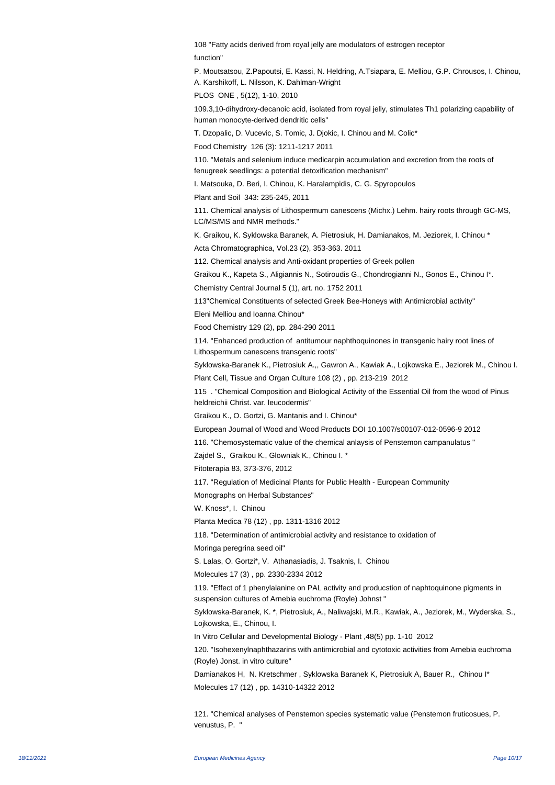108 "Fatty acids derived from royal jelly are modulators of estrogen receptor function"

P. Moutsatsou, Z.Papoutsi, E. Kassi, N. Heldring, A.Tsiapara, E. Melliou, G.P. Chrousos, I. Chinou, A. Karshikoff, L. Nilsson, K. Dahlman-Wright

PLOS ONE , 5(12), 1-10, 2010

109. 3,10-dihydroxy-decanoic acid, isolated from royal jelly, stimulates Th1 polarizing capability of human monocyte-derived dendritic cells"

T. Dzopalic, D. Vucevic, S. Tomic, J. Djokic, I. Chinou and M. Colic\*

 Food Chemistry 126 (3): 1211-1217 2011

110. "Metals and selenium induce medicarpin accumulation and excretion from the roots of fenugreek seedlings: a potential detoxification mechanism"

I. Matsouka, D. Beri, I. Chinou, K. Haralampidis, C. G. Spyropoulos

 Plant and Soil 343: 235-245, 2011

111. Chemical analysis of Lithospermum canescens (Michx.) Lehm. hairy roots through GC-MS, LC/MS/MS and NMR methods."

K. Graikou, K. Syklowska Baranek, A. Pietrosiuk, H. Damianakos, M. Jeziorek, I. Chinou \* Acta Chromatographica, Vol.23 (2), 353-363. 2011

112. Chemical analysis and Anti-oxidant properties of Greek pollen

Graikou K., Kapeta S., Aligiannis N., Sotiroudis G., Chondrogianni N., Gonos E., Chinou I\*.

Chemistry Central Journal 5 (1), art. no. 1752 2011

113"Chemical Constituents of selected Greek Bee-Honeys with Antimicrobial activity"

Eleni Melliou and Ioanna Chinou\*

Food Chemistry 129 (2), pp. 284-290 2011

114. "Enhanced production of antitumour naphthoquinones in transgenic hairy root lines of Lithospermum canescens transgenic roots"

Syklowska-Baranek K., Pietrosiuk A.,, Gawron A., Kawiak A., Lojkowska E., Jeziorek M., Chinou I. Plant Cell, Tissue and Organ Culture 108 (2) , pp. 213-219 2012

115 . "Chemical Composition and Biological Activity of the Essential Oil from the wood of Pinus heldreichii Christ. var. leucodermis"

Graikou K., O. Gortzi, G. Mantanis and I. Chinou\*

European Journal of Wood and Wood Products DOI 10.1007/s00107-012-0596-9 2012

116. "Chemosystematic value of the chemical anlaysis of Penstemon campanulatus "

 Zajdel S., Graikou K., Glowniak K., Chinou I. \*

 Fitoterapia 83, 373-376, 2012

117. "Regulation of Medicinal Plants for Public Health - European Community

Monographs on Herbal Substances"

W. Knoss\*, I. Chinou

Planta Medica 78 (12) , pp. 1311-1316 2012

118. "Determination of antimicrobial activity and resistance to oxidation of

Moringa peregrina seed oil"

S. Lalas, O. Gortzi\*, V. Athanasiadis, J. Tsaknis, I. Chinou

Molecules 17 (3) , pp. 2330-2334 2012

119. "Effect of 1 phenylalanine on PAL activity and producstion of naphtoquinone pigments in suspension cultures of Arnebia euchroma (Royle) Johnst "

Syklowska-Baranek, K. \*, Pietrosiuk, A., Naliwajski, M.R., Kawiak, A., Jeziorek, M., Wyderska, S., Lojkowska, E., Chinou, I.

In Vitro Cellular and Developmental Biology - Plant ,48(5) pp. 1-10 2012

120. "Isohexenylnaphthazarins with antimicrobial and cytotoxic activities from Arnebia euchroma (Royle) Jonst. in vitro culture"

Damianakos H, N. Kretschmer , Syklowska Baranek K, Pietrosiuk A, Bauer R., Chinou I\* Molecules 17 (12) , pp. 14310-14322 2012

121. "Chemical analyses of Penstemon species systematic value (Penstemon fruticosues, P. venustus, P. "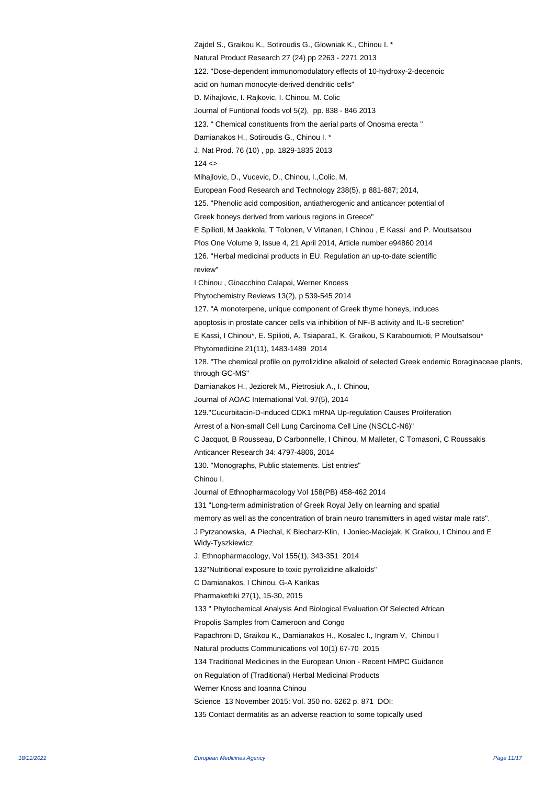Zajdel S., Graikou K., Sotiroudis G., Glowniak K., Chinou I. \* Natural Product Research 27 (24) pp 2263 - 2271 2013 122. "Dose-dependent immunomodulatory effects of 10-hydroxy-2-decenoic acid on human monocyte-derived dendritic cells" D. Mihajlovic, I. Rajkovic, I. Chinou, M. Colic Journal of Funtional foods vol 5(2), pp. 838 - 846 2013 123. " Chemical constituents from the aerial parts of Onosma erecta " Damianakos H., Sotiroudis G., Chinou I. \* J. Nat Prod. 76 (10) , pp. 1829-1835 2013  $124 <$ Mihajlovic, D., Vucevic, D., Chinou, I.,Colic, M. European Food Research and Technology 238(5), p 881-887; 2014, 125. "Phenolic acid composition, antiatherogenic and anticancer potential of Greek honeys derived from various regions in Greece" E Spilioti, M Jaakkola, T Tolonen, V Virtanen, I Chinou , E Kassi and P. Moutsatsou Plos One Volume 9, Issue 4, 21 April 2014, Article number e94860 2014 126. "Herbal medicinal products in EU. Regulation an up-to-date scientific review" I Chinou , Gioacchino Calapai, Werner Knoess Phytochemistry Reviews 13(2), p 539-545 2014 127. "A monoterpene, unique component of Greek thyme honeys, induces apoptosis in prostate cancer cells via inhibition of NF-B activity and IL-6 secretion" E Kassi, I Chinou\*, E. Spilioti, A. Tsiapara1, K. Graikou, S Karabournioti, P Moutsatsou\* Phytomedicine 21(11), 1483-1489 2014 128. "The chemical profile on pyrrolizidine alkaloid of selected Greek endemic Boraginaceae plants, through GC-MS" Damianakos H., Jeziorek M., Pietrosiuk A., I. Chinou, Journal of AOAC International Vol. 97(5), 2014 129."Cucurbitacin-D-induced CDK1 mRNA Up-regulation Causes Proliferation Arrest of a Non-small Cell Lung Carcinoma Cell Line (NSCLC-N6)" C Jacquot, B Rousseau, D Carbonnelle, I Chinou, M Malleter, C Tomasoni, C Roussakis Anticancer Research 34: 4797-4806, 2014 130. "Monographs, Public statements. List entries" Chinou I. Journal of Ethnopharmacology Vol 158(PB) 458-462 2014 131 "Long-term administration of Greek Royal Jelly on learning and spatial memory as well as the concentration of brain neuro transmitters in aged wistar male rats". J Pyrzanowska, A Piechal, K Blecharz-Klin, I Joniec-Maciejak, K Graikou, I Chinou and E Widy-Tyszkiewicz J. Ethnopharmacology, Vol 155(1), 343-351 2014 132"Nutritional exposure to toxic pyrrolizidine alkaloids" C Damianakos, I Chinou, G-A Karikas Pharmakeftiki 27(1), 15-30, 2015 133 " Phytochemical Analysis And Biological Evaluation Of Selected African Propolis Samples from Cameroon and Congo Papachroni D, Graikou K., Damianakos H., Kosalec I., Ingram V, Chinou I Natural products Communications vol 10(1) 67-70 2015 134 Traditional Medicines in the European Union - Recent HMPC Guidance on Regulation of (Traditional) Herbal Medicinal Products Werner Knoss and Ioanna Chinou Science 13 November 2015: Vol. 350 no. 6262 p. 871 DOI: 135 Contact dermatitis as an adverse reaction to some topically used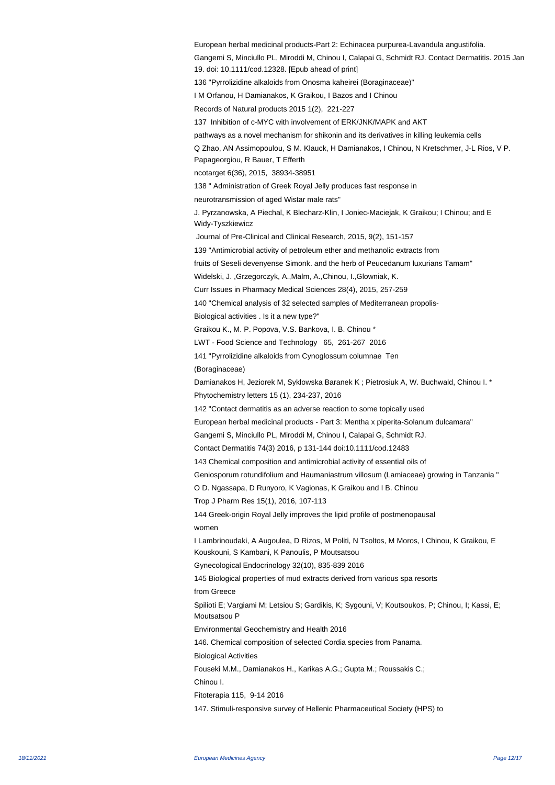European herbal medicinal products-Part 2: Echinacea purpurea-Lavandula angustifolia. Gangemi S, Minciullo PL, Miroddi M, Chinou I, Calapai G, Schmidt RJ. Contact Dermatitis. 2015 Jan 19. doi: 10.1111/cod.12328. [Epub ahead of print] 136 "Pyrrolizidine alkaloids from Onosma kaheirei (Boraginaceae)" I M Orfanou, H Damianakos, K Graikou, I Bazos and I Chinou Records of Natural products 2015 1(2), 221-227 137 Inhibition of c-MYC with involvement of ERK/JNK/MAPK and AKT pathways as a novel mechanism for shikonin and its derivatives in killing leukemia cells Q Zhao, AN Assimopoulou, S M. Klauck, H Damianakos, I Chinou, N Kretschmer, J-L Rios, V P. Papageorgiou, R Bauer, T Efferth ncotarget 6(36), 2015, 38934-38951 138 " Administration of Greek Royal Jelly produces fast response in neurotransmission of aged Wistar male rats" J. Pyrzanowska, A Piechal, K Blecharz-Klin, I Joniec-Maciejak, K Graikou; I Chinou; and E Widy-Tyszkiewicz Journal of Pre-Clinical and Clinical Research, 2015, 9(2), 151-157 139 "Antimicrobial activity of petroleum ether and methanolic extracts from fruits of Seseli devenyense Simonk. and the herb of Peucedanum luxurians Tamam" Widelski, J. ,Grzegorczyk, A.,Malm, A.,Chinou, I.,Glowniak, K. Curr Issues in Pharmacy Medical Sciences 28(4), 2015, 257-259 140 "Chemical analysis of 32 selected samples of Mediterranean propolis-Biological activities . Is it a new type?" Graikou K., M. P. Popova, V.S. Bankova, I. B. Chinou \* LWT - Food Science and Technology 65, 261-267 2016 141 "Pyrrolizidine alkaloids from Cynoglossum columnae Ten (Boraginaceae) Damianakos H, Jeziorek M, Syklowska Baranek K ; Pietrosiuk A, W. Buchwald, Chinou I. \* Phytochemistry letters 15 (1), 234-237, 2016 142 "Contact dermatitis as an adverse reaction to some topically used European herbal medicinal products - Part 3: Mentha x piperita-Solanum dulcamara" Gangemi S, Minciullo PL, Miroddi M, Chinou I, Calapai G, Schmidt RJ. Contact Dermatitis 74(3) 2016, p 131-144 doi:10.1111/cod.12483 143 Chemical composition and antimicrobial activity of essential oils of Geniosporum rotundifolium and Haumaniastrum villosum (Lamiaceae) growing in Tanzania " O D. Ngassapa, D Runyoro, K Vagionas, K Graikou and I B. Chinou Trop J Pharm Res 15(1), 2016, 107-113 144 Greek-origin Royal Jelly improves the lipid profile of postmenopausal women I Lambrinoudaki, A Augoulea, D Rizos, M Politi, N Tsoltos, M Moros, I Chinou, K Graikou, E Kouskouni, S Kambani, K Panoulis, P Moutsatsou Gynecological Endocrinology 32(10), 835-839 2016 145 Biological properties of mud extracts derived from various spa resorts from Greece Spilioti E; Vargiami M; Letsiou S; Gardikis, K; Sygouni, V; Koutsoukos, P; Chinou, I; Kassi, E; Moutsatsou P Environmental Geochemistry and Health 2016 146. Chemical composition of selected Cordia species from Panama. Biological Activities Fouseki M.M., Damianakos H., Karikas A.G.; Gupta M.; Roussakis C.; Chinou I. Fitoterapia 115, 9-14 2016 147. Stimuli-responsive survey of Hellenic Pharmaceutical Society (HPS) to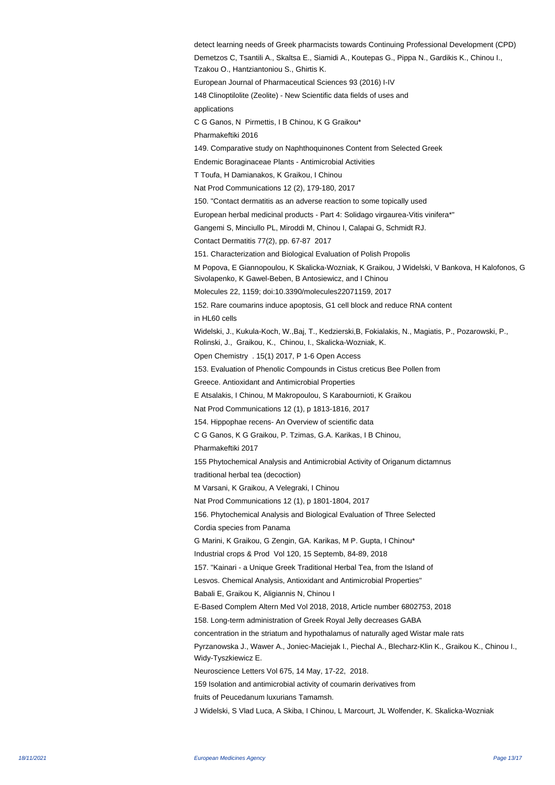detect learning needs of Greek pharmacists towards Continuing Professional Development (CPD) Demetzos C, Tsantili A., Skaltsa E., Siamidi A., Koutepas G., Pippa N., Gardikis K., Chinou I., Tzakou O., Hantziantoniou S., Ghirtis K. European Journal of Pharmaceutical Sciences 93 (2016) I-IV 148 Clinoptilolite (Zeolite) - New Scientific data fields of uses and applications C G Ganos, N Pirmettis, I B Chinou, K G Graikou\* Pharmakeftiki 2016 149. Comparative study on Naphthoquinones Content from Selected Greek Endemic Boraginaceae Plants - Antimicrobial Activities T Toufa, H Damianakos, K Graikou, I Chinou Nat Prod Communications 12 (2), 179-180, 2017 150. "Contact dermatitis as an adverse reaction to some topically used European herbal medicinal products - Part 4: Solidago virgaurea-Vitis vinifera\*" Gangemi S, Minciullo PL, Miroddi M, Chinou I, Calapai G, Schmidt RJ. Contact Dermatitis 77(2), pp. 67-87 2017 151. Characterization and Biological Evaluation of Polish Propolis M Popova, E Giannopoulou, K Skalicka-Wozniak, K Graikou, J Widelski, V Bankova, H Kalofonos, G Sivolapenko, K Gawel-Beben, B Antosiewicz, and I Chinou Molecules 22, 1159; doi:10.3390/molecules22071159, 2017 152. Rare coumarins induce apoptosis, G1 cell block and reduce RNA content in HL60 cells Widelski, J., Kukula-Koch, W.,Baj, T., Kedzierski,B, Fokialakis, N., Magiatis, P., Pozarowski, P., Rolinski, J., Graikou, K., Chinou, I., Skalicka-Wozniak, K. Open Chemistry . 15(1) 2017, P 1-6 Open Access 153. Evaluation of Phenolic Compounds in Cistus creticus Bee Pollen from Greece. Antioxidant and Antimicrobial Properties E Atsalakis, I Chinou, M Makropoulou, S Karabournioti, K Graikou Nat Prod Communications 12 (1), p 1813-1816, 2017 154. Hippophae recens- An Overview of scientific data C G Ganos, K G Graikou, P. Tzimas, G.A. Karikas, I B Chinou, Pharmakeftiki 2017 155 Phytochemical Analysis and Antimicrobial Activity of Origanum dictamnus traditional herbal tea (decoction) M Varsani, K Graikou, A Velegraki, I Chinou Nat Prod Communications 12 (1), p 1801-1804, 2017 156. Phytochemical Analysis and Biological Evaluation of Three Selected Cordia species from Panama G Marini, K Graikou, G Zengin, GA. Karikas, M P. Gupta, I Chinou\* Industrial crops & Prod Vol 120, 15 Septemb, 84-89, 2018 157. "Kainari - a Unique Greek Traditional Herbal Tea, from the Island of Lesvos. Chemical Analysis, Antioxidant and Antimicrobial Properties" Babali E, Graikou K, Aligiannis N, Chinou I E-Based Complem Altern Med Vol 2018, 2018, Article number 6802753, 2018 158. Long-term administration of Greek Royal Jelly decreases GABA concentration in the striatum and hypothalamus of naturally aged Wistar male rats Pyrzanowska J., Wawer A., Joniec-Maciejak I., Piechal A., Blecharz-Klin K., Graikou K., Chinou I., Widy-Tyszkiewicz E. Neuroscience Letters Vol 675, 14 May, 17-22, 2018. 159 Isolation and antimicrobial activity of coumarin derivatives from fruits of Peucedanum luxurians Tamamsh. J Widelski, S Vlad Luca, A Skiba, I Chinou, L Marcourt, JL Wolfender, K. Skalicka-Wozniak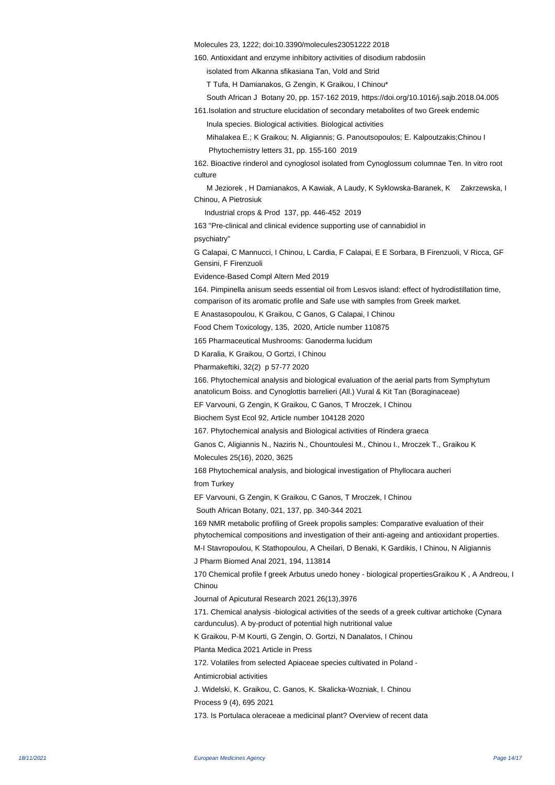Molecules 23, 1222; doi:10.3390/molecules23051222 2018

160. Antioxidant and enzyme inhibitory activities of disodium rabdosiin

isolated from Alkanna sfikasiana Tan, Vold and Strid

T Tufa, H Damianakos, G Zengin, K Graikou, I Chinou\*

 South African J Botany 20, pp. 157-162 2019, https://doi.org/10.1016/j.sajb.2018.04.005 161.Isolation and structure elucidation of secondary metabolites of two Greek endemic

Inula species. Biological activities. Biological activities

Mihalakea E.; K Graikou; N. Aligiannis; G. Panoutsopoulos; E. Kalpoutzakis;Chinou I

Phytochemistry letters 31, pp. 155-160 2019

162. Bioactive rinderol and cynoglosol isolated from Cynoglossum columnae Ten. In vitro root culture

M Jeziorek, H Damianakos, A Kawiak, A Laudy, K Syklowska-Baranek, K Zakrzewska, I Chinou, A Pietrosiuk

Industrial crops & Prod 137, pp. 446-452 2019

163 "Pre-clinical and clinical evidence supporting use of cannabidiol in psychiatry"

G Calapai, C Mannucci, I Chinou, L Cardia, F Calapai, E E Sorbara, B Firenzuoli, V Ricca, GF Gensini, F Firenzuoli

Evidence-Based Compl Altern Med 2019

164. Pimpinella anisum seeds essential oil from Lesvos island: effect of hydrodistillation time, comparison of its aromatic profile and Safe use with samples from Greek market.

E Anastasopoulou, K Graikou, C Ganos, G Calapai, I Chinou

Food Chem Toxicology, 135, 2020, Article number 110875

165 Pharmaceutical Mushrooms: Ganoderma lucidum

D Karalia, K Graikou, O Gortzi, I Chinou

Pharmakeftiki, 32(2) p 57-77 2020

166. Phytochemical analysis and biological evaluation of the aerial parts from Symphytum anatolicum Boiss. and Cynoglottis barrelieri (All.) Vural & Kit Tan (Boraginaceae)

EF Varvouni, G Zengin, K Graikou, C Ganos, T Mroczek, I Chinou

Biochem Syst Ecol 92, Article number 104128 2020

167. Phytochemical analysis and Biological activities of Rindera graeca

Ganos C, Aligiannis N., Naziris N., Chountoulesi M., Chinou I., Mroczek T., Graikou K Molecules 25(16), 2020, 3625

168 Phytochemical analysis, and biological investigation of Phyllocara aucheri

from Turkey

EF Varvouni, G Zengin, K Graikou, C Ganos, T Mroczek, I Chinou

South African Botany, 021, 137, pp. 340-344 2021

169 NMR metabolic profiling of Greek propolis samples: Comparative evaluation of their phytochemical compositions and investigation of their anti-ageing and antioxidant properties.

M-I Stavropoulou, K Stathopoulou, A Cheilari, D Benaki, K Gardikis, I Chinou, N Aligiannis

 J Pharm Biomed Anal 2021, 194, 113814

170 Chemical profile f greek Arbutus unedo honey - biological properties Graikou K, A Andreou, I **Chinou** 

 Journal of Apicutural Research 2021 26(13),3976

171. Chemical analysis -biological activities of the seeds of a greek cultivar artichoke (Cynara cardunculus). A by-product of potential high nutritional value

K Graikou, P-M Kourti, G Zengin, O. Gortzi, N Danalatos, I Chinou

 Planta Medica 2021 Article in Press

172. Volatiles from selected Apiaceae species cultivated in Poland -

Antimicrobial activities

J. Widelski, K. Graikou, C. Ganos, K. Skalicka-Wozniak, I. Chinou

Process 9 (4), 695 2021

173. Is Portulaca oleraceae a medicinal plant? Overview of recent data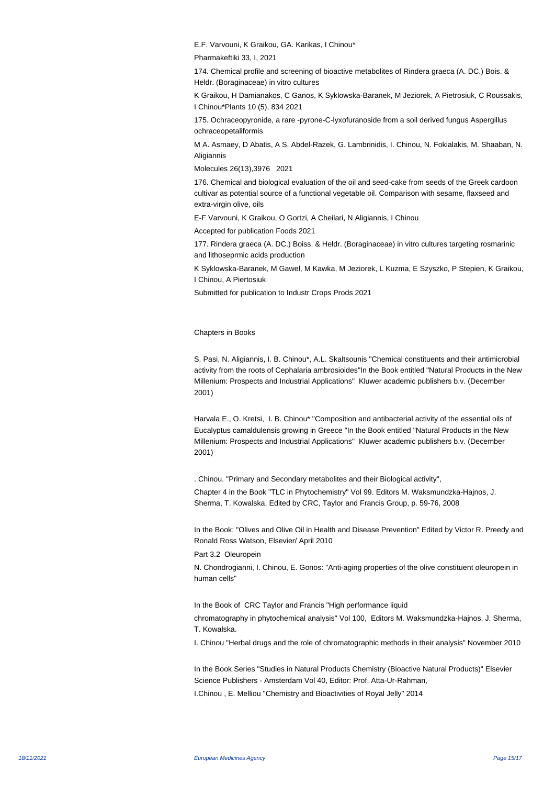E.F. Varvouni, K Graikou, GA. Karikas, I Chinou\*

Pharmakeftiki 33, I, 2021

174. Chemical profile and screening of bioactive metabolites of Rindera graeca (A. DC.) Bois. & Heldr. (Boraginaceae) in vitro cultures

 K Graikou, H Damianakos, C Ganos, K Syklowska-Baranek, M Jeziorek, A Pietrosiuk, C Roussakis, I Chinou\*Plants 10 (5), 834 2021

175. Ochraceopyronide, a rare -pyrone-C-lyxofuranoside from a soil derived fungus Aspergillus ochraceopetaliformis

M A. Asmaey, D Abatis, A S. Abdel-Razek, G. Lambrinidis, I. Chinou, N. Fokialakis, M. Shaaban, N. Aligiannis

Molecules 26(13),3976 2021

176. Chemical and biological evaluation of the oil and seed-cake from seeds of the Greek cardoon cultivar as potential source of a functional vegetable oil. Comparison with sesame, flaxseed and extra-virgin olive, oils

E-F Varvouni, K Graikou, O Gortzi, A Cheilari, N Aligiannis, I Chinou

Accepted for publication Foods 2021

177. Rindera graeca (A. DC.) Boiss. & Heldr. (Boraginaceae) in vitro cultures targeting rosmarinic and lithoseprmic acids production

 K Syklowska-Baranek, M Gawel, M Kawka, M Jeziorek, L Kuzma, E Szyszko, P Stepien, K Graikou, I Chinou, A Piertosiuk

Submitted for publication to Industr Crops Prods 2021

Chapters in Books

S. Pasi, N. Aligiannis, I. B. Chinou\*, A.L. Skaltsounis "Chemical constituents and their antimicrobial activity from the roots of Cephalaria ambrosioides"In the Book entitled "Natural Products in the New Millenium: Prospects and Industrial Applications" Kluwer academic publishers b.v. (December 2001)

Harvala E., O. Kretsi, I. B. Chinou\* "Composition and antibacterial activity of the essential oils of Eucalyptus camaldulensis growing in Greece "In the Book entitled "Natural Products in the New Millenium: Prospects and Industrial Applications" Kluwer academic publishers b.v. (December 2001)

. Chinou. "Primary and Secondary metabolites and their Biological activity", Chapter 4 in the Book "TLC in Phytochemistry" Vol 99. Editors M. Waksmundzka-Hajnos, J. Sherma, T. Kowalska, Edited by CRC, Taylor and Francis Group, p. 59-76, 2008

In the Book: "Olives and Olive Oil in Health and Disease Prevention" Edited by Victor R. Preedy and Ronald Ross Watson, Elsevier/ April 2010

Part 3.2 Oleuropein

N. Chondrogianni, I. Chinou, E. Gonos: "Anti-aging properties of the olive constituent oleuropein in human cells"

In the Book of CRC Taylor and Francis "High performance liquid

chromatography in phytochemical analysis" Vol 100, Editors M. Waksmundzka-Hajnos, J. Sherma, T. Kowalska.

I. Chinou "Herbal drugs and the role of chromatographic methods in their analysis" November 2010

In the Book Series "Studies in Natural Products Chemistry (Bioactive Natural Products)" Elsevier Science Publishers - Amsterdam Vol 40, Editor: Prof. Atta-Ur-Rahman,

I.Chinou , E. Melliou "Chemistry and Bioactivities of Royal Jelly" 2014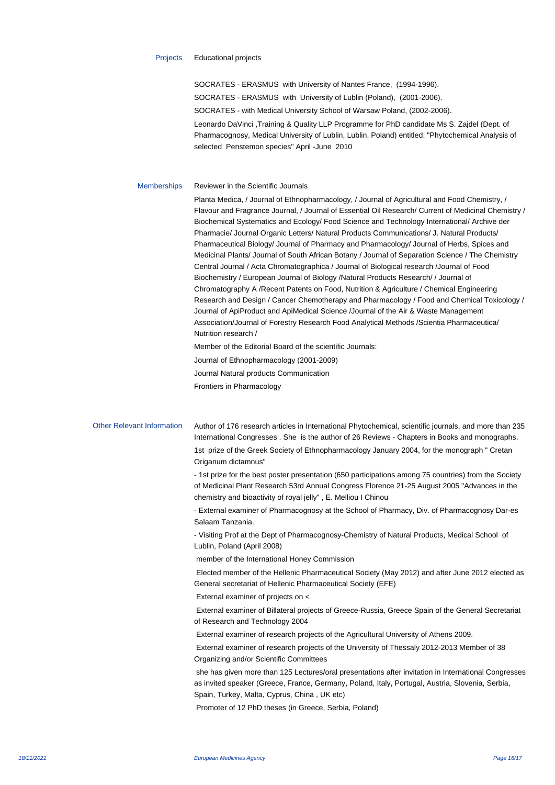SOCRATES - ERASMUS with University of Nantes France, (1994-1996). SOCRATES - ERASMUS with University of Lublin (Poland), (2001-2006). SOCRATES - with Medical University School of Warsaw Poland, (2002-2006). Leonardo DaVinci ,Training & Quality LLP Programme for PhD candidate Ms S. Zajdel (Dept. of Pharmacognosy, Medical University of Lublin, Lublin, Poland) entitled: "Phytochemical Analysis of selected Penstemon species" April -June 2010

## Memberships Reviewer in the Scientific Journals

Planta Medica, / Journal of Ethnopharmacology, / Journal of Agricultural and Food Chemistry, / Flavour and Fragrance Journal, / Journal of Essential Oil Research/ Current of Medicinal Chemistry / Biochemical Systematics and Ecology/ Food Science and Technology International/ Archive der Pharmacie/ Journal Organic Letters/ Natural Products Communications/ J. Natural Products/ Pharmaceutical Biology/ Journal of Pharmacy and Pharmacology/ Journal of Herbs, Spices and Medicinal Plants/ Journal of South African Botany / Journal of Separation Science / The Chemistry Central Journal / Acta Chromatographica / Journal of Biological research /Journal of Food Biochemistry / European Journal of Biology /Natural Products Research/ / Journal of Chromatography A /Recent Patents on Food, Nutrition & Agriculture / Chemical Engineering Research and Design / Cancer Chemotherapy and Pharmacology / Food and Chemical Toxicology / Journal of ApiProduct and ApiMedical Science /Journal of the Air & Waste Management Association/Journal of Forestry Research Food Analytical Methods /Scientia Pharmaceutica/ Nutrition research /

Member of the Editorial Board of the scientific Journals: Journal of Ethnopharmacology (2001-2009)

Journal Natural products Communication

Frontiers in Pharmacology

Other Relevant Information Author of 176 research articles in International Phytochemical, scientific journals, and more than 235 International Congresses . She is the author of 26 Reviews - Chapters in Books and monographs. 1st prize of the Greek Society of Ethnopharmacology January 2004, for the monograph " Cretan Origanum dictamnus"

> - 1st prize for the best poster presentation (650 participations among 75 countries) from the Society of Medicinal Plant Research 53rd Annual Congress Florence 21-25 August 2005 "Advances in the chemistry and bioactivity of royal jelly" , E. Melliou I Chinou

> - External examiner of Pharmacognosy at the School of Pharmacy, Div. of Pharmacognosy Dar-es Salaam Tanzania.

- Visiting Prof at the Dept of Pharmacognosy-Chemistry of Natural Products, Medical School of Lublin, Poland (April 2008)

member of the International Honey Commission

 Elected member of the Hellenic Pharmaceutical Society (May 2012) and after June 2012 elected as General secretariat of Hellenic Pharmaceutical Society (EFE)

External examiner of projects on <

 External examiner of Billateral projects of Greece-Russia, Greece Spain of the General Secretariat of Research and Technology 2004

External examiner of research projects of the Agricultural University of Athens 2009.

 External examiner of research projects of the University of Thessaly 2012-2013 Member of 38 Organizing and/or Scientific Committees

she has given more than 125 Lectures/oral presentations after invitation in International Congresses as invited speaker (Greece, France, Germany, Poland, Italy, Portugal, Austria, Slovenia, Serbia, Spain, Turkey, Malta, Cyprus, China , UK etc)

Promoter of 12 PhD theses (in Greece, Serbia, Poland)